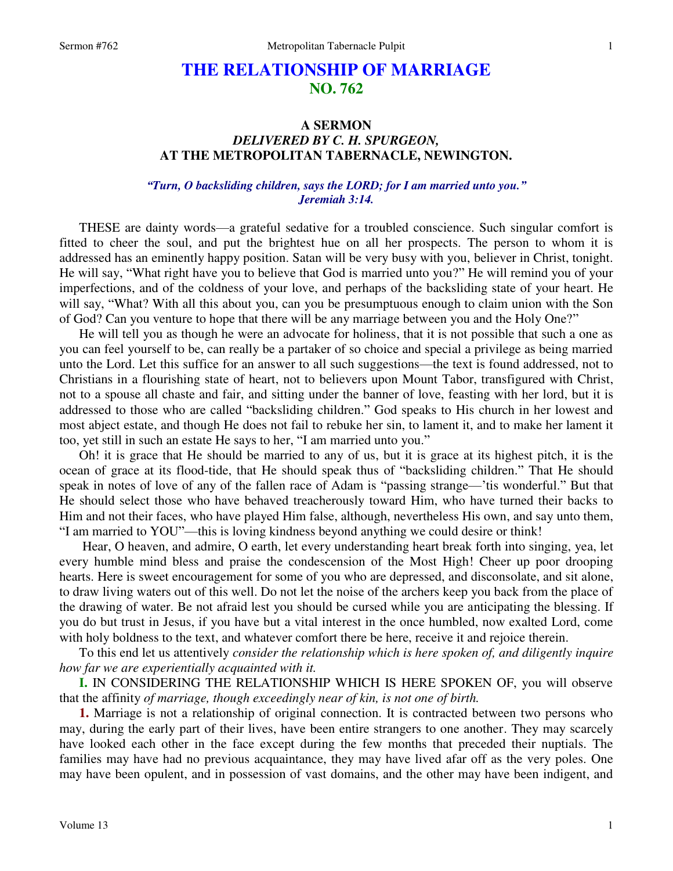# **THE RELATIONSHIP OF MARRIAGE NO. 762**

# **A SERMON**  *DELIVERED BY C. H. SPURGEON,*  **AT THE METROPOLITAN TABERNACLE, NEWINGTON.**

#### *"Turn, O backsliding children, says the LORD; for I am married unto you." Jeremiah 3:14.*

THESE are dainty words—a grateful sedative for a troubled conscience. Such singular comfort is fitted to cheer the soul, and put the brightest hue on all her prospects. The person to whom it is addressed has an eminently happy position. Satan will be very busy with you, believer in Christ, tonight. He will say, "What right have you to believe that God is married unto you?" He will remind you of your imperfections, and of the coldness of your love, and perhaps of the backsliding state of your heart. He will say, "What? With all this about you, can you be presumptuous enough to claim union with the Son of God? Can you venture to hope that there will be any marriage between you and the Holy One?"

 He will tell you as though he were an advocate for holiness, that it is not possible that such a one as you can feel yourself to be, can really be a partaker of so choice and special a privilege as being married unto the Lord. Let this suffice for an answer to all such suggestions—the text is found addressed, not to Christians in a flourishing state of heart, not to believers upon Mount Tabor, transfigured with Christ, not to a spouse all chaste and fair, and sitting under the banner of love, feasting with her lord, but it is addressed to those who are called "backsliding children." God speaks to His church in her lowest and most abject estate, and though He does not fail to rebuke her sin, to lament it, and to make her lament it too, yet still in such an estate He says to her, "I am married unto you."

Oh! it is grace that He should be married to any of us, but it is grace at its highest pitch, it is the ocean of grace at its flood-tide, that He should speak thus of "backsliding children." That He should speak in notes of love of any of the fallen race of Adam is "passing strange—'tis wonderful." But that He should select those who have behaved treacherously toward Him, who have turned their backs to Him and not their faces, who have played Him false, although, nevertheless His own, and say unto them, "I am married to YOU"—this is loving kindness beyond anything we could desire or think!

 Hear, O heaven, and admire, O earth, let every understanding heart break forth into singing, yea, let every humble mind bless and praise the condescension of the Most High! Cheer up poor drooping hearts. Here is sweet encouragement for some of you who are depressed, and disconsolate, and sit alone, to draw living waters out of this well. Do not let the noise of the archers keep you back from the place of the drawing of water. Be not afraid lest you should be cursed while you are anticipating the blessing. If you do but trust in Jesus, if you have but a vital interest in the once humbled, now exalted Lord, come with holy boldness to the text, and whatever comfort there be here, receive it and rejoice therein.

 To this end let us attentively *consider the relationship which is here spoken of, and diligently inquire how far we are experientially acquainted with it.*

**I.** IN CONSIDERING THE RELATIONSHIP WHICH IS HERE SPOKEN OF, you will observe that the affinity *of marriage, though exceedingly near of kin, is not one of birth.*

**1.** Marriage is not a relationship of original connection. It is contracted between two persons who may, during the early part of their lives, have been entire strangers to one another. They may scarcely have looked each other in the face except during the few months that preceded their nuptials. The families may have had no previous acquaintance, they may have lived afar off as the very poles. One may have been opulent, and in possession of vast domains, and the other may have been indigent, and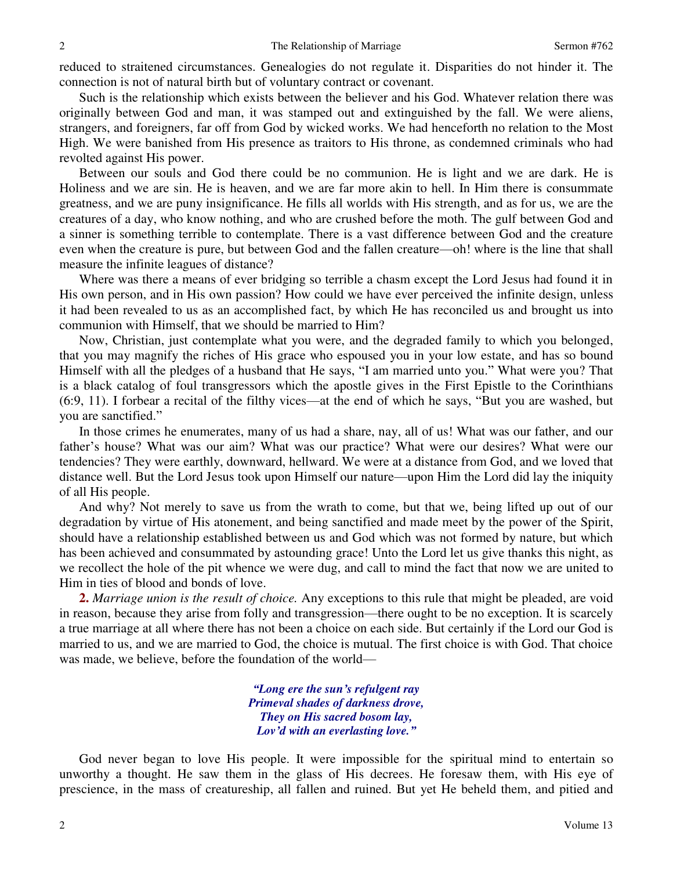reduced to straitened circumstances. Genealogies do not regulate it. Disparities do not hinder it. The connection is not of natural birth but of voluntary contract or covenant.

 Such is the relationship which exists between the believer and his God. Whatever relation there was originally between God and man, it was stamped out and extinguished by the fall. We were aliens, strangers, and foreigners, far off from God by wicked works. We had henceforth no relation to the Most High. We were banished from His presence as traitors to His throne, as condemned criminals who had revolted against His power.

 Between our souls and God there could be no communion. He is light and we are dark. He is Holiness and we are sin. He is heaven, and we are far more akin to hell. In Him there is consummate greatness, and we are puny insignificance. He fills all worlds with His strength, and as for us, we are the creatures of a day, who know nothing, and who are crushed before the moth. The gulf between God and a sinner is something terrible to contemplate. There is a vast difference between God and the creature even when the creature is pure, but between God and the fallen creature—oh! where is the line that shall measure the infinite leagues of distance?

 Where was there a means of ever bridging so terrible a chasm except the Lord Jesus had found it in His own person, and in His own passion? How could we have ever perceived the infinite design, unless it had been revealed to us as an accomplished fact, by which He has reconciled us and brought us into communion with Himself, that we should be married to Him?

 Now, Christian, just contemplate what you were, and the degraded family to which you belonged, that you may magnify the riches of His grace who espoused you in your low estate, and has so bound Himself with all the pledges of a husband that He says, "I am married unto you." What were you? That is a black catalog of foul transgressors which the apostle gives in the First Epistle to the Corinthians (6:9, 11). I forbear a recital of the filthy vices—at the end of which he says, "But you are washed, but you are sanctified."

 In those crimes he enumerates, many of us had a share, nay, all of us! What was our father, and our father's house? What was our aim? What was our practice? What were our desires? What were our tendencies? They were earthly, downward, hellward. We were at a distance from God, and we loved that distance well. But the Lord Jesus took upon Himself our nature—upon Him the Lord did lay the iniquity of all His people.

 And why? Not merely to save us from the wrath to come, but that we, being lifted up out of our degradation by virtue of His atonement, and being sanctified and made meet by the power of the Spirit, should have a relationship established between us and God which was not formed by nature, but which has been achieved and consummated by astounding grace! Unto the Lord let us give thanks this night, as we recollect the hole of the pit whence we were dug, and call to mind the fact that now we are united to Him in ties of blood and bonds of love.

**2.** *Marriage union is the result of choice.* Any exceptions to this rule that might be pleaded, are void in reason, because they arise from folly and transgression—there ought to be no exception. It is scarcely a true marriage at all where there has not been a choice on each side. But certainly if the Lord our God is married to us, and we are married to God, the choice is mutual. The first choice is with God. That choice was made, we believe, before the foundation of the world—

> *"Long ere the sun's refulgent ray Primeval shades of darkness drove, They on His sacred bosom lay, Lov'd with an everlasting love."*

 God never began to love His people. It were impossible for the spiritual mind to entertain so unworthy a thought. He saw them in the glass of His decrees. He foresaw them, with His eye of prescience, in the mass of creatureship, all fallen and ruined. But yet He beheld them, and pitied and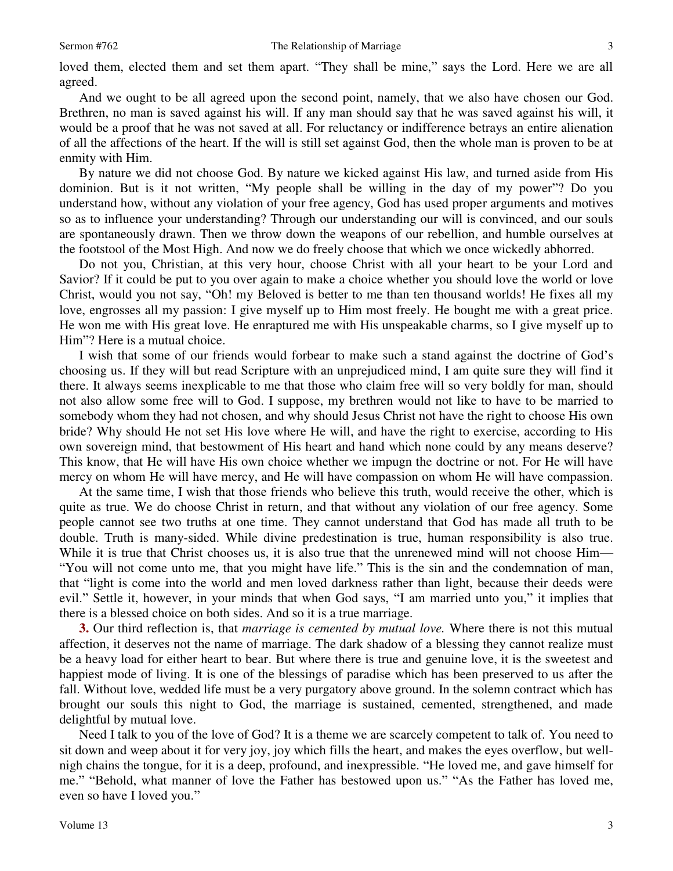loved them, elected them and set them apart. "They shall be mine," says the Lord. Here we are all agreed.

 And we ought to be all agreed upon the second point, namely, that we also have chosen our God. Brethren, no man is saved against his will. If any man should say that he was saved against his will, it would be a proof that he was not saved at all. For reluctancy or indifference betrays an entire alienation of all the affections of the heart. If the will is still set against God, then the whole man is proven to be at enmity with Him.

 By nature we did not choose God. By nature we kicked against His law, and turned aside from His dominion. But is it not written, "My people shall be willing in the day of my power"? Do you understand how, without any violation of your free agency, God has used proper arguments and motives so as to influence your understanding? Through our understanding our will is convinced, and our souls are spontaneously drawn. Then we throw down the weapons of our rebellion, and humble ourselves at the footstool of the Most High. And now we do freely choose that which we once wickedly abhorred.

Do not you, Christian, at this very hour, choose Christ with all your heart to be your Lord and Savior? If it could be put to you over again to make a choice whether you should love the world or love Christ, would you not say, "Oh! my Beloved is better to me than ten thousand worlds! He fixes all my love, engrosses all my passion: I give myself up to Him most freely. He bought me with a great price. He won me with His great love. He enraptured me with His unspeakable charms, so I give myself up to Him"? Here is a mutual choice.

 I wish that some of our friends would forbear to make such a stand against the doctrine of God's choosing us. If they will but read Scripture with an unprejudiced mind, I am quite sure they will find it there. It always seems inexplicable to me that those who claim free will so very boldly for man, should not also allow some free will to God. I suppose, my brethren would not like to have to be married to somebody whom they had not chosen, and why should Jesus Christ not have the right to choose His own bride? Why should He not set His love where He will, and have the right to exercise, according to His own sovereign mind, that bestowment of His heart and hand which none could by any means deserve? This know, that He will have His own choice whether we impugn the doctrine or not. For He will have mercy on whom He will have mercy, and He will have compassion on whom He will have compassion.

 At the same time, I wish that those friends who believe this truth, would receive the other, which is quite as true. We do choose Christ in return, and that without any violation of our free agency. Some people cannot see two truths at one time. They cannot understand that God has made all truth to be double. Truth is many-sided. While divine predestination is true, human responsibility is also true. While it is true that Christ chooses us, it is also true that the unrenewed mind will not choose Him— "You will not come unto me, that you might have life." This is the sin and the condemnation of man, that "light is come into the world and men loved darkness rather than light, because their deeds were evil." Settle it, however, in your minds that when God says, "I am married unto you," it implies that there is a blessed choice on both sides. And so it is a true marriage.

**3.** Our third reflection is, that *marriage is cemented by mutual love.* Where there is not this mutual affection, it deserves not the name of marriage. The dark shadow of a blessing they cannot realize must be a heavy load for either heart to bear. But where there is true and genuine love, it is the sweetest and happiest mode of living. It is one of the blessings of paradise which has been preserved to us after the fall. Without love, wedded life must be a very purgatory above ground. In the solemn contract which has brought our souls this night to God, the marriage is sustained, cemented, strengthened, and made delightful by mutual love.

 Need I talk to you of the love of God? It is a theme we are scarcely competent to talk of. You need to sit down and weep about it for very joy, joy which fills the heart, and makes the eyes overflow, but wellnigh chains the tongue, for it is a deep, profound, and inexpressible. "He loved me, and gave himself for me." "Behold, what manner of love the Father has bestowed upon us." "As the Father has loved me, even so have I loved you."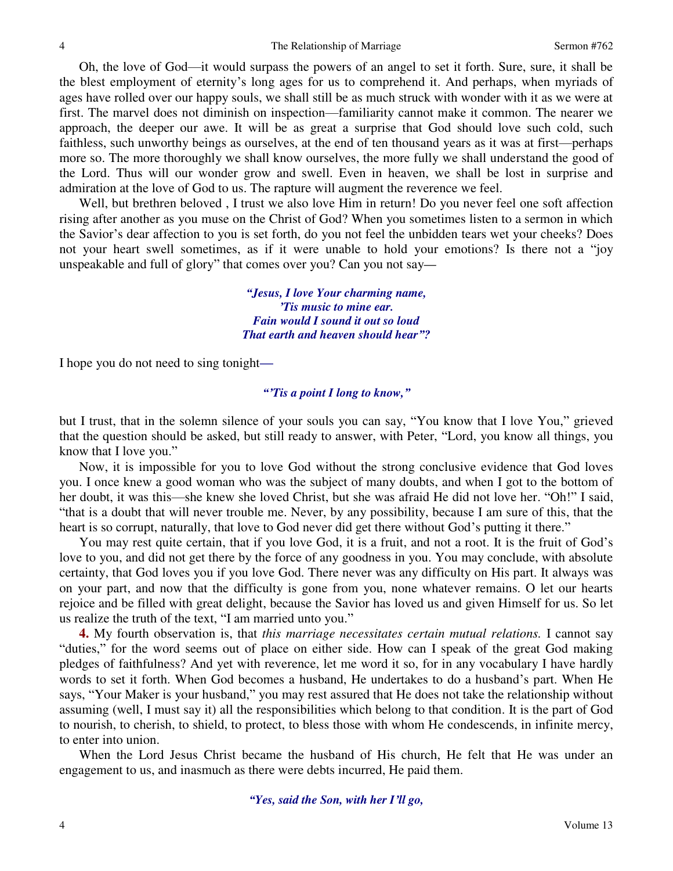Oh, the love of God—it would surpass the powers of an angel to set it forth. Sure, sure, it shall be the blest employment of eternity's long ages for us to comprehend it. And perhaps, when myriads of ages have rolled over our happy souls, we shall still be as much struck with wonder with it as we were at first. The marvel does not diminish on inspection—familiarity cannot make it common. The nearer we approach, the deeper our awe. It will be as great a surprise that God should love such cold, such faithless, such unworthy beings as ourselves, at the end of ten thousand years as it was at first—perhaps more so. The more thoroughly we shall know ourselves, the more fully we shall understand the good of the Lord. Thus will our wonder grow and swell. Even in heaven, we shall be lost in surprise and admiration at the love of God to us. The rapture will augment the reverence we feel.

 Well, but brethren beloved , I trust we also love Him in return! Do you never feel one soft affection rising after another as you muse on the Christ of God? When you sometimes listen to a sermon in which the Savior's dear affection to you is set forth, do you not feel the unbidden tears wet your cheeks? Does not your heart swell sometimes, as if it were unable to hold your emotions? Is there not a "joy unspeakable and full of glory" that comes over you? Can you not say*—*

> *"Jesus, I love Your charming name, 'Tis music to mine ear. Fain would I sound it out so loud That earth and heaven should hear"?*

I hope you do not need to sing tonight*—*

#### *"'Tis a point I long to know,"*

but I trust, that in the solemn silence of your souls you can say, "You know that I love You," grieved that the question should be asked, but still ready to answer, with Peter, "Lord, you know all things, you know that I love you."

 Now, it is impossible for you to love God without the strong conclusive evidence that God loves you. I once knew a good woman who was the subject of many doubts, and when I got to the bottom of her doubt, it was this—she knew she loved Christ, but she was afraid He did not love her. "Oh!" I said, "that is a doubt that will never trouble me. Never, by any possibility, because I am sure of this, that the heart is so corrupt, naturally, that love to God never did get there without God's putting it there."

 You may rest quite certain, that if you love God, it is a fruit, and not a root. It is the fruit of God's love to you, and did not get there by the force of any goodness in you. You may conclude, with absolute certainty, that God loves you if you love God. There never was any difficulty on His part. It always was on your part, and now that the difficulty is gone from you, none whatever remains. O let our hearts rejoice and be filled with great delight, because the Savior has loved us and given Himself for us. So let us realize the truth of the text, "I am married unto you."

**4.** My fourth observation is, that *this marriage necessitates certain mutual relations.* I cannot say "duties," for the word seems out of place on either side. How can I speak of the great God making pledges of faithfulness? And yet with reverence, let me word it so, for in any vocabulary I have hardly words to set it forth. When God becomes a husband, He undertakes to do a husband's part. When He says, "Your Maker is your husband," you may rest assured that He does not take the relationship without assuming (well, I must say it) all the responsibilities which belong to that condition. It is the part of God to nourish, to cherish, to shield, to protect, to bless those with whom He condescends, in infinite mercy, to enter into union.

 When the Lord Jesus Christ became the husband of His church, He felt that He was under an engagement to us, and inasmuch as there were debts incurred, He paid them.

*"Yes, said the Son, with her I'll go,*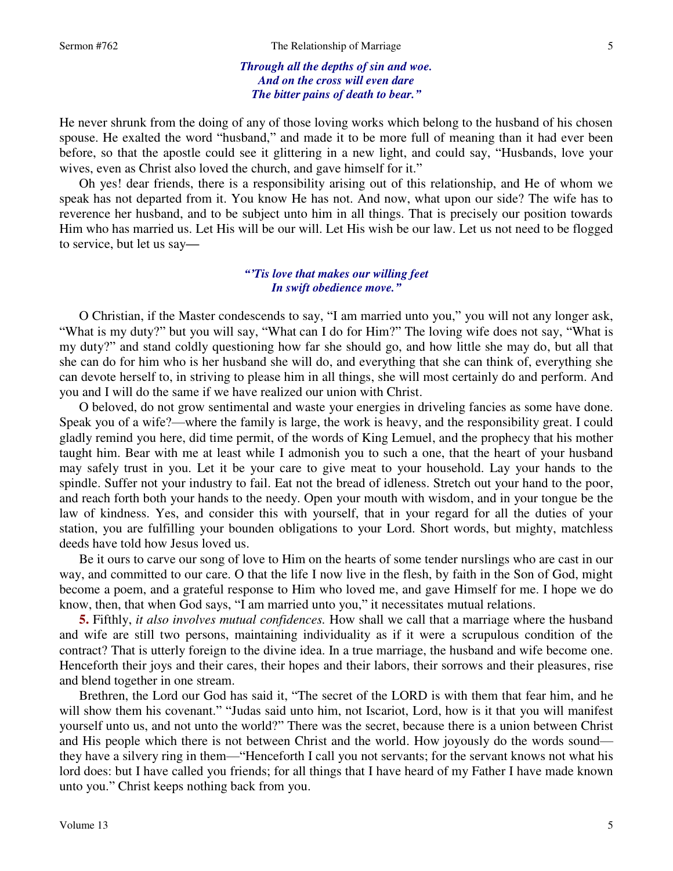#### *Through all the depths of sin and woe. And on the cross will even dare The bitter pains of death to bear."*

He never shrunk from the doing of any of those loving works which belong to the husband of his chosen spouse. He exalted the word "husband," and made it to be more full of meaning than it had ever been before, so that the apostle could see it glittering in a new light, and could say, "Husbands, love your wives, even as Christ also loved the church, and gave himself for it."

 Oh yes! dear friends, there is a responsibility arising out of this relationship, and He of whom we speak has not departed from it. You know He has not. And now, what upon our side? The wife has to reverence her husband, and to be subject unto him in all things. That is precisely our position towards Him who has married us. Let His will be our will. Let His wish be our law. Let us not need to be flogged to service, but let us say*—*

## *"'Tis love that makes our willing feet In swift obedience move."*

 O Christian, if the Master condescends to say, "I am married unto you," you will not any longer ask, "What is my duty?" but you will say, "What can I do for Him?" The loving wife does not say, "What is my duty?" and stand coldly questioning how far she should go, and how little she may do, but all that she can do for him who is her husband she will do, and everything that she can think of, everything she can devote herself to, in striving to please him in all things, she will most certainly do and perform. And you and I will do the same if we have realized our union with Christ.

O beloved, do not grow sentimental and waste your energies in driveling fancies as some have done. Speak you of a wife?—where the family is large, the work is heavy, and the responsibility great. I could gladly remind you here, did time permit, of the words of King Lemuel, and the prophecy that his mother taught him. Bear with me at least while I admonish you to such a one, that the heart of your husband may safely trust in you. Let it be your care to give meat to your household. Lay your hands to the spindle. Suffer not your industry to fail. Eat not the bread of idleness. Stretch out your hand to the poor, and reach forth both your hands to the needy. Open your mouth with wisdom, and in your tongue be the law of kindness. Yes, and consider this with yourself, that in your regard for all the duties of your station, you are fulfilling your bounden obligations to your Lord. Short words, but mighty, matchless deeds have told how Jesus loved us.

 Be it ours to carve our song of love to Him on the hearts of some tender nurslings who are cast in our way, and committed to our care. O that the life I now live in the flesh, by faith in the Son of God, might become a poem, and a grateful response to Him who loved me, and gave Himself for me. I hope we do know, then, that when God says, "I am married unto you," it necessitates mutual relations.

**5.** Fifthly, *it also involves mutual confidences.* How shall we call that a marriage where the husband and wife are still two persons, maintaining individuality as if it were a scrupulous condition of the contract? That is utterly foreign to the divine idea. In a true marriage, the husband and wife become one. Henceforth their joys and their cares, their hopes and their labors, their sorrows and their pleasures, rise and blend together in one stream.

 Brethren, the Lord our God has said it, "The secret of the LORD is with them that fear him, and he will show them his covenant." "Judas said unto him, not Iscariot, Lord, how is it that you will manifest yourself unto us, and not unto the world?" There was the secret, because there is a union between Christ and His people which there is not between Christ and the world. How joyously do the words sound they have a silvery ring in them—"Henceforth I call you not servants; for the servant knows not what his lord does: but I have called you friends; for all things that I have heard of my Father I have made known unto you." Christ keeps nothing back from you.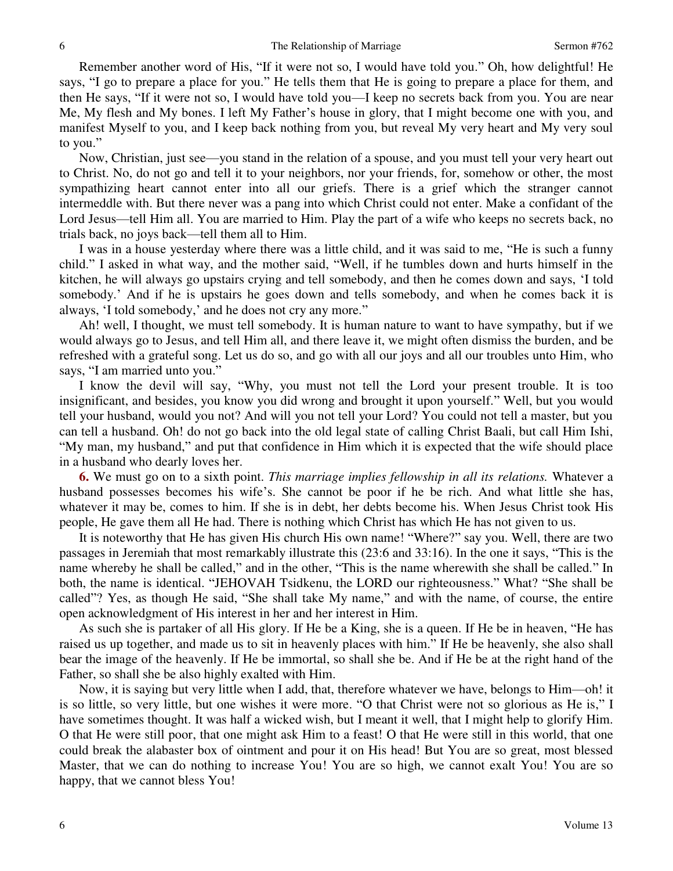Remember another word of His, "If it were not so, I would have told you." Oh, how delightful! He says, "I go to prepare a place for you." He tells them that He is going to prepare a place for them, and then He says, "If it were not so, I would have told you—I keep no secrets back from you. You are near Me, My flesh and My bones. I left My Father's house in glory, that I might become one with you, and manifest Myself to you, and I keep back nothing from you, but reveal My very heart and My very soul to you."

 Now, Christian, just see—you stand in the relation of a spouse, and you must tell your very heart out to Christ. No, do not go and tell it to your neighbors, nor your friends, for, somehow or other, the most sympathizing heart cannot enter into all our griefs. There is a grief which the stranger cannot intermeddle with. But there never was a pang into which Christ could not enter. Make a confidant of the Lord Jesus—tell Him all. You are married to Him. Play the part of a wife who keeps no secrets back, no trials back, no joys back—tell them all to Him.

 I was in a house yesterday where there was a little child, and it was said to me, "He is such a funny child." I asked in what way, and the mother said, "Well, if he tumbles down and hurts himself in the kitchen, he will always go upstairs crying and tell somebody, and then he comes down and says, 'I told somebody.' And if he is upstairs he goes down and tells somebody, and when he comes back it is always, 'I told somebody,' and he does not cry any more."

Ah! well, I thought, we must tell somebody. It is human nature to want to have sympathy, but if we would always go to Jesus, and tell Him all, and there leave it, we might often dismiss the burden, and be refreshed with a grateful song. Let us do so, and go with all our joys and all our troubles unto Him, who says, "I am married unto you."

 I know the devil will say, "Why, you must not tell the Lord your present trouble. It is too insignificant, and besides, you know you did wrong and brought it upon yourself." Well, but you would tell your husband, would you not? And will you not tell your Lord? You could not tell a master, but you can tell a husband. Oh! do not go back into the old legal state of calling Christ Baali, but call Him Ishi, "My man, my husband," and put that confidence in Him which it is expected that the wife should place in a husband who dearly loves her.

**6.** We must go on to a sixth point. *This marriage implies fellowship in all its relations.* Whatever a husband possesses becomes his wife's. She cannot be poor if he be rich. And what little she has, whatever it may be, comes to him. If she is in debt, her debts become his. When Jesus Christ took His people, He gave them all He had. There is nothing which Christ has which He has not given to us.

 It is noteworthy that He has given His church His own name! "Where?" say you. Well, there are two passages in Jeremiah that most remarkably illustrate this (23:6 and 33:16). In the one it says, "This is the name whereby he shall be called," and in the other, "This is the name wherewith she shall be called." In both, the name is identical. "JEHOVAH Tsidkenu, the LORD our righteousness." What? "She shall be called"? Yes, as though He said, "She shall take My name," and with the name, of course, the entire open acknowledgment of His interest in her and her interest in Him.

 As such she is partaker of all His glory. If He be a King, she is a queen. If He be in heaven, "He has raised us up together, and made us to sit in heavenly places with him." If He be heavenly, she also shall bear the image of the heavenly. If He be immortal, so shall she be. And if He be at the right hand of the Father, so shall she be also highly exalted with Him.

 Now, it is saying but very little when I add, that, therefore whatever we have, belongs to Him—oh! it is so little, so very little, but one wishes it were more. "O that Christ were not so glorious as He is," I have sometimes thought. It was half a wicked wish, but I meant it well, that I might help to glorify Him. O that He were still poor, that one might ask Him to a feast! O that He were still in this world, that one could break the alabaster box of ointment and pour it on His head! But You are so great, most blessed Master, that we can do nothing to increase You! You are so high, we cannot exalt You! You are so happy, that we cannot bless You!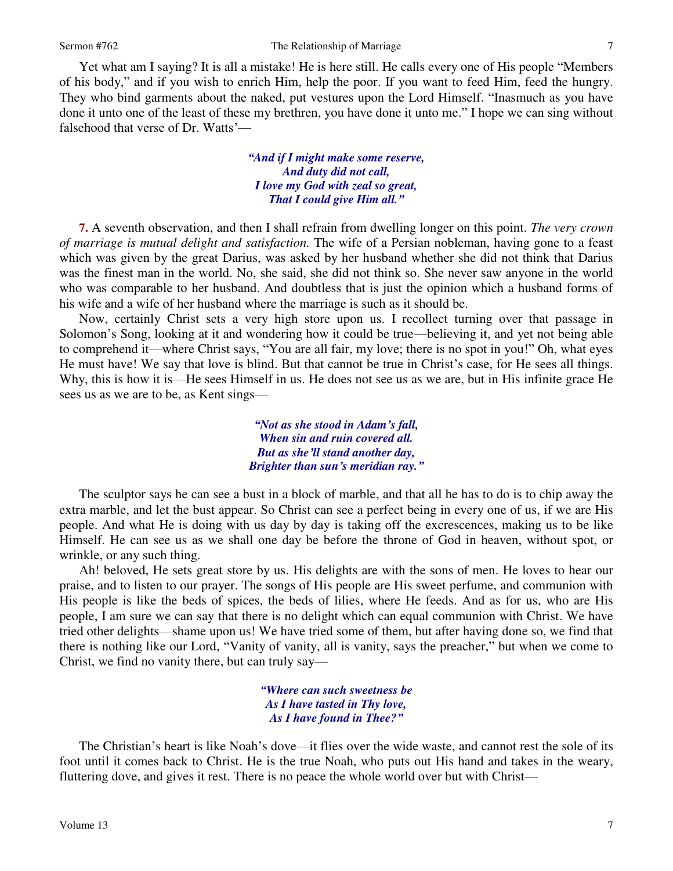7

 Yet what am I saying? It is all a mistake! He is here still. He calls every one of His people "Members of his body," and if you wish to enrich Him, help the poor. If you want to feed Him, feed the hungry. They who bind garments about the naked, put vestures upon the Lord Himself. "Inasmuch as you have done it unto one of the least of these my brethren, you have done it unto me." I hope we can sing without falsehood that verse of Dr. Watts'—

> *"And if I might make some reserve, And duty did not call, I love my God with zeal so great, That I could give Him all."*

**7.** A seventh observation, and then I shall refrain from dwelling longer on this point. *The very crown of marriage is mutual delight and satisfaction.* The wife of a Persian nobleman, having gone to a feast which was given by the great Darius, was asked by her husband whether she did not think that Darius was the finest man in the world. No, she said, she did not think so. She never saw anyone in the world who was comparable to her husband. And doubtless that is just the opinion which a husband forms of his wife and a wife of her husband where the marriage is such as it should be.

 Now, certainly Christ sets a very high store upon us. I recollect turning over that passage in Solomon's Song, looking at it and wondering how it could be true—believing it, and yet not being able to comprehend it—where Christ says, "You are all fair, my love; there is no spot in you!" Oh, what eyes He must have! We say that love is blind. But that cannot be true in Christ's case, for He sees all things. Why, this is how it is—He sees Himself in us. He does not see us as we are, but in His infinite grace He sees us as we are to be, as Kent sings—

> *"Not as she stood in Adam's fall, When sin and ruin covered all. But as she'll stand another day, Brighter than sun's meridian ray."*

 The sculptor says he can see a bust in a block of marble, and that all he has to do is to chip away the extra marble, and let the bust appear. So Christ can see a perfect being in every one of us, if we are His people. And what He is doing with us day by day is taking off the excrescences, making us to be like Himself. He can see us as we shall one day be before the throne of God in heaven, without spot, or wrinkle, or any such thing.

Ah! beloved, He sets great store by us. His delights are with the sons of men. He loves to hear our praise, and to listen to our prayer. The songs of His people are His sweet perfume, and communion with His people is like the beds of spices, the beds of lilies, where He feeds. And as for us, who are His people, I am sure we can say that there is no delight which can equal communion with Christ. We have tried other delights—shame upon us! We have tried some of them, but after having done so, we find that there is nothing like our Lord, "Vanity of vanity, all is vanity, says the preacher," but when we come to Christ, we find no vanity there, but can truly say—

> *"Where can such sweetness be As I have tasted in Thy love, As I have found in Thee?"*

 The Christian's heart is like Noah's dove—it flies over the wide waste, and cannot rest the sole of its foot until it comes back to Christ. He is the true Noah, who puts out His hand and takes in the weary, fluttering dove, and gives it rest. There is no peace the whole world over but with Christ—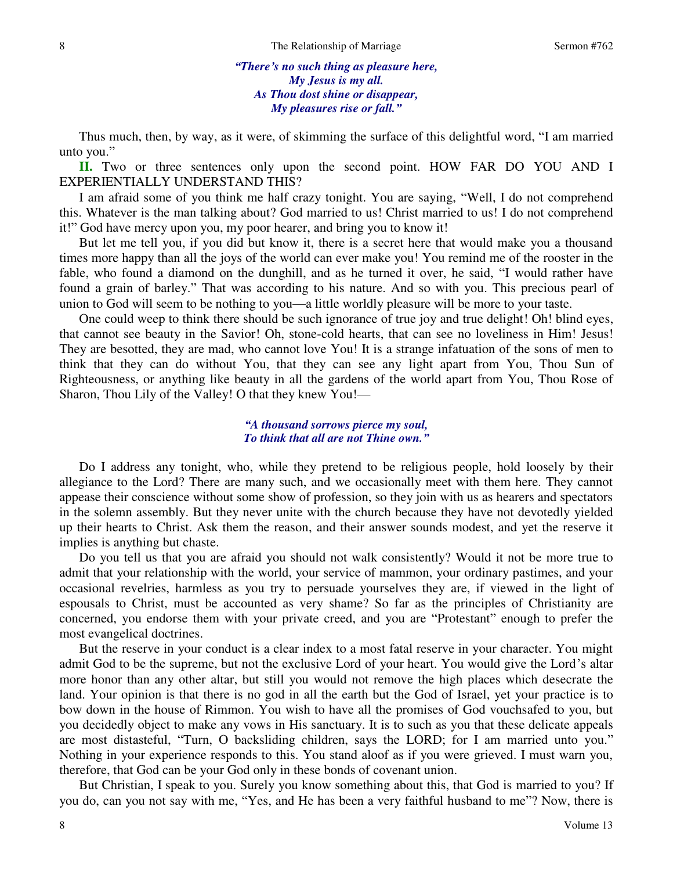### *"There's no such thing as pleasure here, My Jesus is my all. As Thou dost shine or disappear, My pleasures rise or fall."*

 Thus much, then, by way, as it were, of skimming the surface of this delightful word, "I am married unto you."

**II.** Two or three sentences only upon the second point. HOW FAR DO YOU AND I EXPERIENTIALLY UNDERSTAND THIS?

 I am afraid some of you think me half crazy tonight. You are saying, "Well, I do not comprehend this. Whatever is the man talking about? God married to us! Christ married to us! I do not comprehend it!" God have mercy upon you, my poor hearer, and bring you to know it!

 But let me tell you, if you did but know it, there is a secret here that would make you a thousand times more happy than all the joys of the world can ever make you! You remind me of the rooster in the fable, who found a diamond on the dunghill, and as he turned it over, he said, "I would rather have found a grain of barley." That was according to his nature. And so with you. This precious pearl of union to God will seem to be nothing to you—a little worldly pleasure will be more to your taste.

 One could weep to think there should be such ignorance of true joy and true delight! Oh! blind eyes, that cannot see beauty in the Savior! Oh, stone-cold hearts, that can see no loveliness in Him! Jesus! They are besotted, they are mad, who cannot love You! It is a strange infatuation of the sons of men to think that they can do without You, that they can see any light apart from You, Thou Sun of Righteousness, or anything like beauty in all the gardens of the world apart from You, Thou Rose of Sharon, Thou Lily of the Valley! O that they knew You!—

#### *"A thousand sorrows pierce my soul, To think that all are not Thine own."*

 Do I address any tonight, who, while they pretend to be religious people, hold loosely by their allegiance to the Lord? There are many such, and we occasionally meet with them here. They cannot appease their conscience without some show of profession, so they join with us as hearers and spectators in the solemn assembly. But they never unite with the church because they have not devotedly yielded up their hearts to Christ. Ask them the reason, and their answer sounds modest, and yet the reserve it implies is anything but chaste.

 Do you tell us that you are afraid you should not walk consistently? Would it not be more true to admit that your relationship with the world, your service of mammon, your ordinary pastimes, and your occasional revelries, harmless as you try to persuade yourselves they are, if viewed in the light of espousals to Christ, must be accounted as very shame? So far as the principles of Christianity are concerned, you endorse them with your private creed, and you are "Protestant" enough to prefer the most evangelical doctrines.

 But the reserve in your conduct is a clear index to a most fatal reserve in your character. You might admit God to be the supreme, but not the exclusive Lord of your heart. You would give the Lord's altar more honor than any other altar, but still you would not remove the high places which desecrate the land. Your opinion is that there is no god in all the earth but the God of Israel, yet your practice is to bow down in the house of Rimmon. You wish to have all the promises of God vouchsafed to you, but you decidedly object to make any vows in His sanctuary. It is to such as you that these delicate appeals are most distasteful, "Turn, O backsliding children, says the LORD; for I am married unto you." Nothing in your experience responds to this. You stand aloof as if you were grieved. I must warn you, therefore, that God can be your God only in these bonds of covenant union.

 But Christian, I speak to you. Surely you know something about this, that God is married to you? If you do, can you not say with me, "Yes, and He has been a very faithful husband to me"? Now, there is